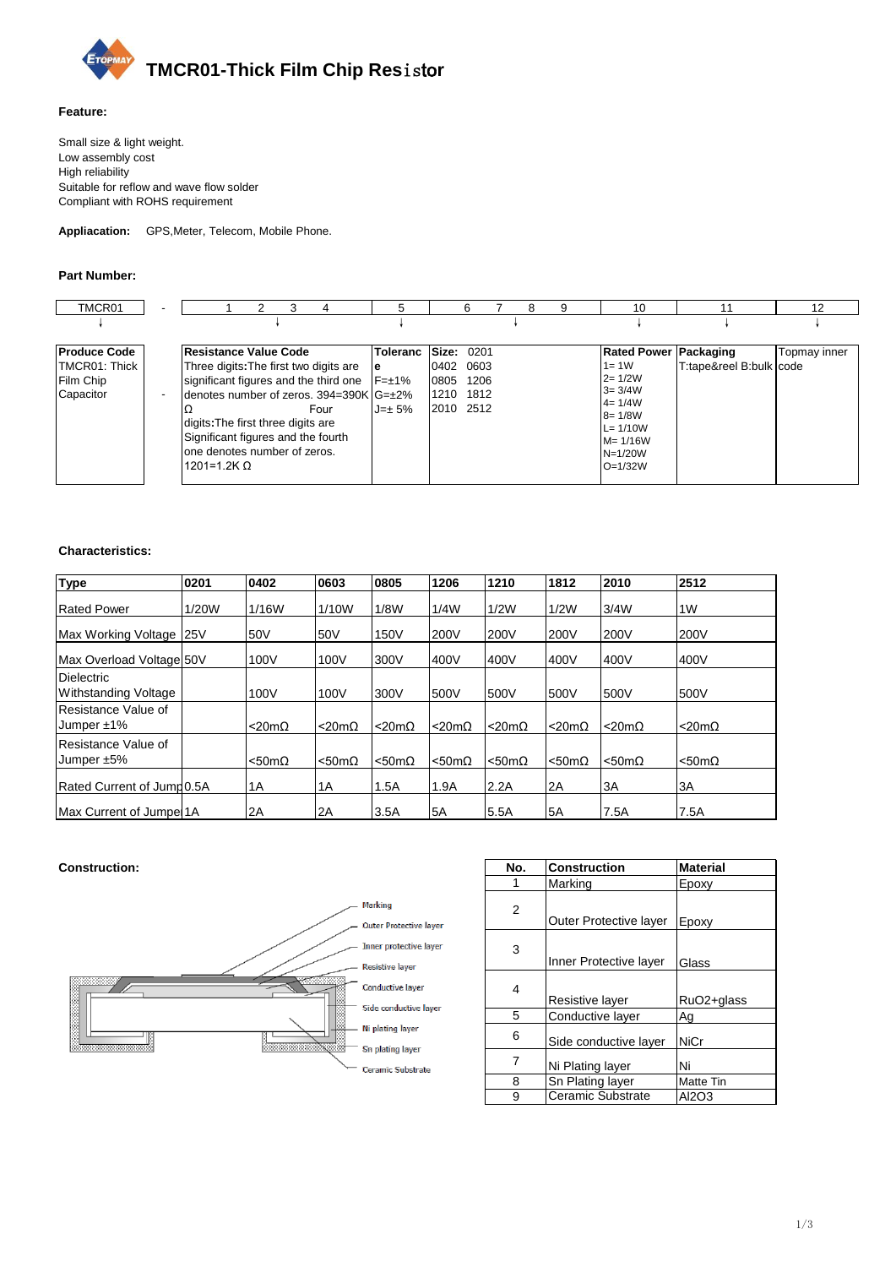

## **Feature:**

Small size & light weight. Low assembly cost High reliability Suitable for reflow and wave flow solder Compliant with ROHS requirement

**Appliacation:** GPS,Meter, Telecom, Mobile Phone.

### **Part Number:**

| TMCR01                                                         | - | 3<br>4                                                                                                                                                                                                                                                                                                    | 5               | 6<br>8<br>9                                                                      | 10                                                                                                                                                       |                         | 12           |
|----------------------------------------------------------------|---|-----------------------------------------------------------------------------------------------------------------------------------------------------------------------------------------------------------------------------------------------------------------------------------------------------------|-----------------|----------------------------------------------------------------------------------|----------------------------------------------------------------------------------------------------------------------------------------------------------|-------------------------|--------------|
|                                                                |   |                                                                                                                                                                                                                                                                                                           |                 |                                                                                  |                                                                                                                                                          |                         |              |
| <b>Produce Code</b><br>TMCR01: Thick<br>Film Chip<br>Capacitor |   | Resistance Value Code<br>Three digits: The first two digits are<br>significant figures and the third one $F=\pm 1\%$<br>denotes number of zeros. 394=390K G=±2%<br>Four<br>digits: The first three digits are<br>Significant figures and the fourth<br>one denotes number of zeros.<br>1201=1.2K $\Omega$ | e<br>$J = ± 5%$ | Toleranc Size: 0201<br>0402<br>0603<br>0805<br>1206<br>1210<br>1812<br>2010 2512 | <b>Rated Power Packaging</b><br>$1 = 1W$<br>$2 = 1/2W$<br>$3 = 3/4W$<br>$4 = 1/4W$<br>$8 = 1/8W$<br>$L = 1/10W$<br>$M = 1/16W$<br>$N=1/20W$<br>$O=1/32W$ | T:tape&reel B:bulk code | Topmay inner |

### **Characteristics:**

| <b>Type</b>                               | 0201  | 0402                  | 0603             | 0805                  | 1206                  | 1210                  | 1812             | 2010                  | 2512             |
|-------------------------------------------|-------|-----------------------|------------------|-----------------------|-----------------------|-----------------------|------------------|-----------------------|------------------|
| <b>Rated Power</b>                        | 1/20W | 1/16W                 | 1/10W            | 1/8W                  | 1/4W                  | 1/2W                  | 1/2W             | 3/4W                  | 1W               |
| Max Working Voltage                       | 25V   | 50V                   | 50V              | 150V                  | 200V                  | 200V                  | 200V             | 200V                  | 200V             |
| <b>IMax Overload Voltage 50V</b>          |       | 100V                  | 100V             | 300V                  | 400V                  | 400V                  | 400V             | 400V                  | 400V             |
| <b>Dielectric</b><br>Withstanding Voltage |       | 100V                  | 100V             | 300V                  | 500V                  | 500V                  | 500V             | 500V                  | 500V             |
| Resistance Value of<br>Jumper $±1\%$      |       | $< 20m\Omega$         | $<$ 20m $\Omega$ | $<$ 20m $\Omega$      | $<$ 20m $\Omega$      | $<$ 20m $\Omega$      | $<$ 20m $\Omega$ | $<$ 20m $\Omega$      | $<$ 20m $\Omega$ |
| Resistance Value of<br>Jumper $±5\%$      |       | $< 50 \text{m}\Omega$ | $<$ 50m $\Omega$ | $< 50 \text{m}\Omega$ | $< 50 \text{m}\Omega$ | $< 50 \text{m}\Omega$ | $<$ 50m $\Omega$ | $< 50 \text{m}\Omega$ | $<$ 50m $\Omega$ |
| Rated Current of Jump0.5A                 |       | 1A                    | 1A               | 1.5A                  | 1.9A                  | 2.2A                  | 2A               | 3A                    | 3A               |
| Max Current of Jumpe 1A                   |       | 2A                    | 2A               | 3.5A                  | 5A                    | 5.5A                  | 5A               | 7.5A                  | 7.5A             |

# $$



| No. | <b>Construction</b>    | <b>Material</b> |
|-----|------------------------|-----------------|
|     | Marking                | Epoxy           |
| 2   | Outer Protective layer | Epoxy           |
| 3   | Inner Protective layer | Glass           |
| 4   | Resistive layer        | RuO2+glass      |
| 5   | Conductive layer       | Ag              |
| 6   | Side conductive layer  | NiCr            |
| 7   | Ni Plating layer       | Ni              |
| 8   | Sn Plating layer       | Matte Tin       |
| 9   | Ceramic Substrate      | AI2O3           |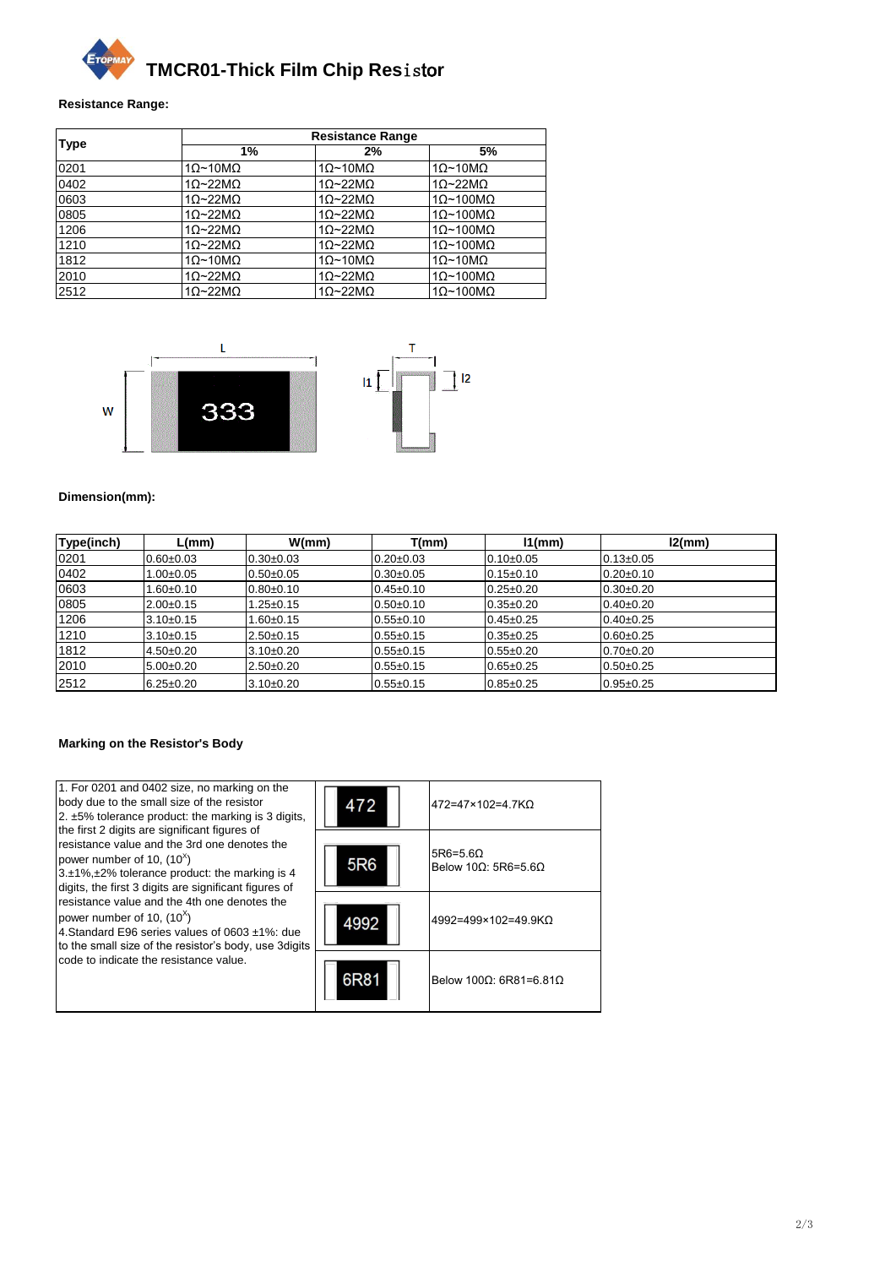

#### **Resistance Range:**

|             | <b>Resistance Range</b> |                                                                                                                                                                                                                                                                                                                                       |                          |  |  |  |  |  |
|-------------|-------------------------|---------------------------------------------------------------------------------------------------------------------------------------------------------------------------------------------------------------------------------------------------------------------------------------------------------------------------------------|--------------------------|--|--|--|--|--|
| <b>Type</b> | 1%                      | 5%<br>2%<br>$1\Omega$ ~10M $\Omega$<br>$1\Omega$ ~10M $\Omega$<br>$10-22M2$<br>$10-22M2$<br>$10-22M\Omega$<br>$1\Omega$ ~100M $\Omega$<br>$1\Omega$ ~22M $\Omega$<br>$1\Omega$ ~100M $\Omega$<br>$10-22M2$<br>$1\Omega$ ~100M $\Omega$<br>$10-22M2$<br>$1\Omega$ ~100M $\Omega$<br>$1\Omega$ ~10M $\Omega$<br>$1\Omega$ ~10M $\Omega$ |                          |  |  |  |  |  |
| 0201        | $1\Omega$ ~10M $\Omega$ |                                                                                                                                                                                                                                                                                                                                       |                          |  |  |  |  |  |
| 0402        | $10-22M2$               |                                                                                                                                                                                                                                                                                                                                       |                          |  |  |  |  |  |
| 0603        | $1\Omega$ ~22M $\Omega$ |                                                                                                                                                                                                                                                                                                                                       |                          |  |  |  |  |  |
| 0805        | $1\Omega$ ~22M $\Omega$ |                                                                                                                                                                                                                                                                                                                                       |                          |  |  |  |  |  |
| 1206        | $10-22M2$               |                                                                                                                                                                                                                                                                                                                                       |                          |  |  |  |  |  |
| 1210        | $10-22M2$               |                                                                                                                                                                                                                                                                                                                                       |                          |  |  |  |  |  |
| 1812        | $1\Omega$ ~10M $\Omega$ |                                                                                                                                                                                                                                                                                                                                       |                          |  |  |  |  |  |
| 2010        | $1\Omega$ ~22M $\Omega$ | $1\Omega$ ~22M $\Omega$                                                                                                                                                                                                                                                                                                               | $1\Omega$ ~100M $\Omega$ |  |  |  |  |  |
| 2512        | $10-22M2$               | $10-22M2$                                                                                                                                                                                                                                                                                                                             | $1\Omega$ ~100M $\Omega$ |  |  |  |  |  |



#### **Dimension(mm):**

| Type(inch) | L(mm)           | W(mm)           | T(mm)           | $11$ (mm)       | l2(mm)          |
|------------|-----------------|-----------------|-----------------|-----------------|-----------------|
| 0201       | $0.60 \pm 0.03$ | $0.30 + 0.03$   | $0.20 \pm 0.03$ | $0.10 + 0.05$   | $0.13 \pm 0.05$ |
| 0402       | $1.00 \pm 0.05$ | $0.50 + 0.05$   | $0.30 + 0.05$   | $0.15 \pm 0.10$ | $0.20 + 0.10$   |
| 0603       | $1.60 + 0.10$   | $0.80 + 0.10$   | $0.45+0.10$     | $0.25 \pm 0.20$ | $0.30+0.20$     |
| 0805       | $2.00+0.15$     | $.25 \pm 0.15$  | $0.50 + 0.10$   | $0.35 \pm 0.20$ | $0.40 + 0.20$   |
| 1206       | $3.10 \pm 0.15$ | $.60 \pm 0.15$  | $0.55 + 0.10$   | $0.45 \pm 0.25$ | $0.40 + 0.25$   |
| 1210       | $3.10 \pm 0.15$ | $2.50+0.15$     | $0.55 + 0.15$   | $0.35+0.25$     | $0.60 + 0.25$   |
| 1812       | $4.50 \pm 0.20$ | $3.10 \pm 0.20$ | $0.55 + 0.15$   | $0.55 \pm 0.20$ | $0.70 + 0.20$   |
| 2010       | $5.00+0.20$     | $2.50+0.20$     | $0.55 + 0.15$   | $0.65 \pm 0.25$ | $0.50 + 0.25$   |
| 2512       | $6.25 \pm 0.20$ | $3.10 \pm 0.20$ | $0.55 + 0.15$   | $0.85 + 0.25$   | $0.95 + 0.25$   |

#### **Marking on the Resistor's Body**